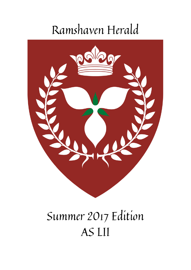# Ramshaven Herald



# Summer 2017 Edition AS LII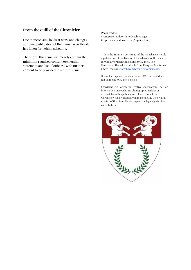#### **From the quill of the Chronicler**

Due to increasing loads at work and changes at home, publication of the Ramshaven Herald has fallen far behind schedule.

Therefore, this issue will merely contain the minimum required content (ownership statement and list of officers) with further content to be provided in a future issue.

Photo credits: Front page - Ealdormere Graphics page (http://www.ealdormere.ca/graphics.html)

This is the Summer, 2017 Issue of the Ramshaven Herald, a publication of the Barony of Ramshaven, of the Society for Creative Anachronism, Inc. (SCA, Inc.). The Ramshaven Herald is available from Fearghas Mackenna (Steve Onotsky), ramshavenchronicler@gmail.com.

It is not a corporate publication of SCA, Inc., and does not delineate SCA, Inc. policies.

Copyright 2017 Society for Creative Anachronism, Inc. For information on reprinting photographs, articles or artwork from this publication, please contact the Chronicler, who will assist you in contacting the original creator of the piece. Please respect the legal rights of our contributors.